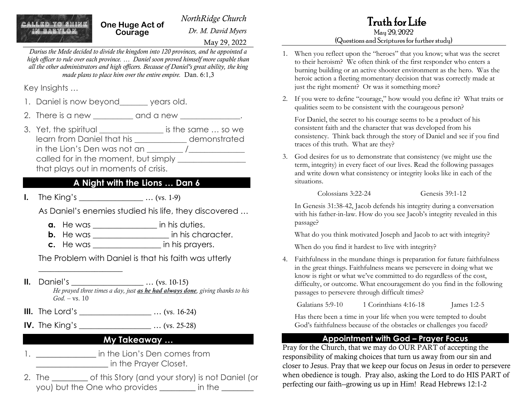ALLED TO SHINE

*NorthRidge Church Dr. M. David Myers* **One Huge Act of** 

May 29, 2022

*Darius the Mede decided to divide the kingdom into 120 provinces, and he appointed a high officer to rule over each province. … Daniel soon proved himself more capable than all the other administrators and high officers. Because of Daniel's great ability, the king made plans to place him over the entire empire.* Dan. 6:1,3

**Courage**

Key Insights …

- 1. Daniel is now beyond\_\_\_\_\_\_\_ years old.
- 2. There is a new \_\_\_\_\_\_\_\_\_ and a new \_\_\_\_\_\_\_\_\_\_\_\_\_.
- 3. Yet, the spiritual is the same ... so we learn from Daniel that his \_\_\_\_\_\_\_\_\_\_\_\_\_ demonstrated in the Lion's Den was not an  $\frac{1}{\sqrt{2}}$ called for in the moment, but simply that plays out in moments of crisis.

### **A Night with the Lions … Dan 6**

**I.** The King's \_\_\_\_\_\_\_\_\_\_\_\_\_\_\_\_\_\_\_\_ ... (vs. 1-9)

\_\_\_\_\_\_\_\_\_\_\_\_\_\_\_\_\_\_\_\_\_

As Daniel's enemies studied his life, they discovered …

- **a.** He was \_\_\_\_\_\_\_\_\_\_\_\_\_\_\_\_ in his duties.
- **b.** He was \_\_\_\_\_\_\_\_\_\_\_\_\_\_\_\_\_\_\_\_\_ in his character.
- **c.** He was \_\_\_\_\_\_\_\_\_\_\_\_\_\_\_\_\_ in his prayers.

The Problem with Daniel is that his faith was utterly

- **II.** Daniel's \_\_\_\_\_\_\_\_\_\_\_\_\_\_\_\_\_\_\_\_\_\_ ... (vs. 10-15) *He prayed three times a day, just as he had always done, giving thanks to his*   $God - vs. 10$
- **III.** The Lord's \_\_\_\_\_\_\_\_\_\_\_\_\_\_\_\_\_\_\_\_\_\_\_ ... (vs. 16-24)
- **IV.** The King's \_\_\_\_\_\_\_\_\_\_\_\_\_\_\_\_\_\_ … (vs. 25-28)

#### **My Takeaway …**

- 1. \_\_\_\_\_\_\_\_\_\_\_\_\_\_\_\_\_\_\_\_ in the Lion's Den comes from  $\blacksquare$  in the Prayer Closet.
- 2. The of this Story (and your story) is not Daniel (or you) but the One who provides \_\_\_\_\_\_\_\_ in the \_\_\_\_\_\_\_

# Truth for Life

# May 29, 2022

#### (Questions and Scriptures for further study)

- 1. When you reflect upon the "heroes" that you know; what was the secret to their heroism? We often think of the first responder who enters a burning building or an active shooter environment as the hero. Was the heroic action a fleeting momentary decision that was correctly made at just the right moment? Or was it something more?
- 2. If you were to define "courage," how would you define it? What traits or qualities seem to be consistent with the courageous person?

For Daniel, the secret to his courage seems to be a product of his consistent faith and the character that was developed from his consistency. Think back through the story of Daniel and see if you find traces of this truth. What are they?

3. God desires for us to demonstrate that consistency (we might use the term, integrity) in every facet of our lives. Read the following passages and write down what consistency or integrity looks like in each of the situations.

Colossians 3:22-24 Genesis 39:1-12

In Genesis 31:38-42, Jacob defends his integrity during a conversation with his father-in-law. How do you see Jacob's integrity revealed in this passage?

What do you think motivated Joseph and Jacob to act with integrity?

When do you find it hardest to live with integrity?

4. Faithfulness in the mundane things is preparation for future faithfulness in the great things. Faithfulness means we persevere in doing what we know is right or what we've committed to do regardless of the cost, difficulty, or outcome. What encouragement do you find in the following passages to persevere through difficult times?

Galatians 5:9-10 1 Corinthians 4:16-18 James 1:2-5

Has there been a time in your life when you were tempted to doubt God's faithfulness because of the obstacles or challenges you faced?

#### **Appointment with God – Prayer Focus**

Pray for the Church, that we may do OUR PART of accepting the responsibility of making choices that turn us away from our sin and closer to Jesus. Pray that we keep our focus on Jesus in order to persevere when obedience is tough. Pray also, asking the Lord to do HIS PART of perfecting our faith--growing us up in Him! Read Hebrews 12:1-2